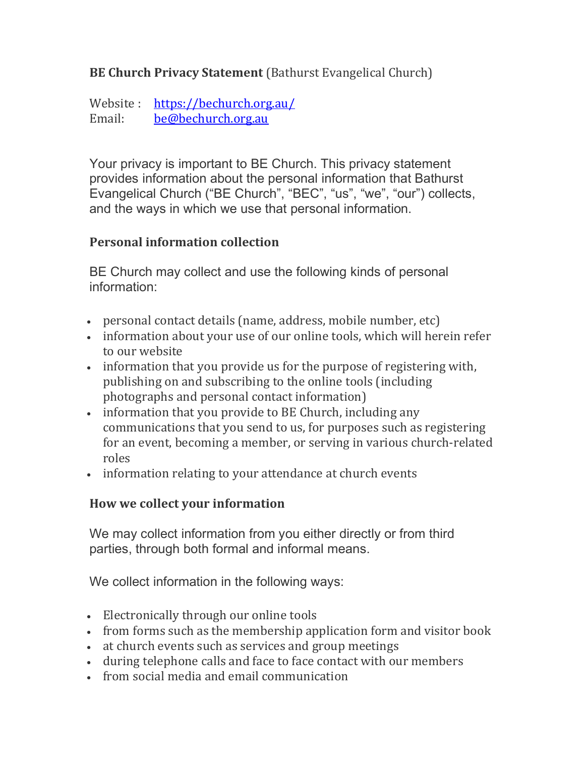# **BE Church Privacy Statement** (Bathurst Evangelical Church)

Website : https://bechurch.org.au/ Email: be@bechurch.org.au

Your privacy is important to BE Church. This privacy statement provides information about the personal information that Bathurst Evangelical Church ("BE Church", "BEC", "us", "we", "our") collects, and the ways in which we use that personal information.

### Personal information collection

BE Church may collect and use the following kinds of personal information:

- personal contact details (name, address, mobile number, etc)
- information about your use of our online tools, which will herein refer to our website
- information that you provide us for the purpose of registering with, publishing on and subscribing to the online tools (including photographs and personal contact information)
- information that you provide to BE Church, including any communications that you send to us, for purposes such as registering for an event, becoming a member, or serving in various church-related roles
- information relating to your attendance at church events

# How we collect your information

We may collect information from you either directly or from third parties, through both formal and informal means.

We collect information in the following ways:

- Electronically through our online tools
- from forms such as the membership application form and visitor book
- at church events such as services and group meetings
- during telephone calls and face to face contact with our members
- from social media and email communication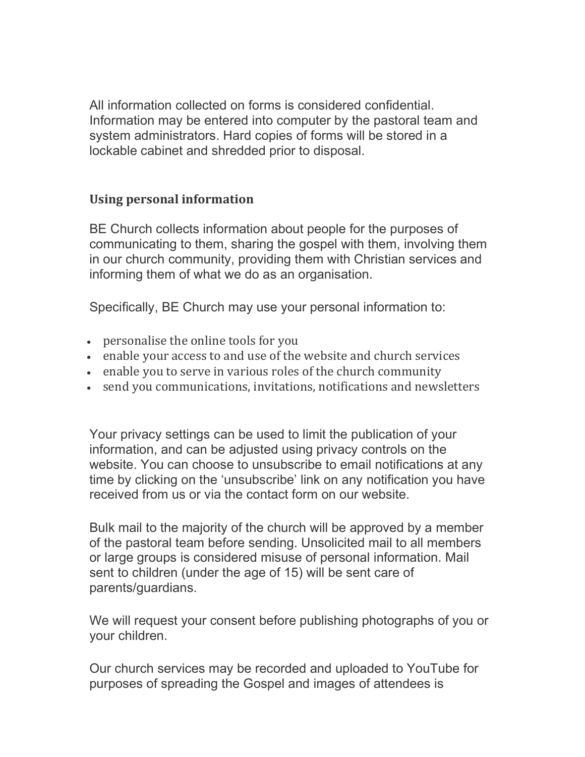All information collected on forms is considered confidential. Information may be entered into computer by the pastoral team and system administrators. Hard copies of forms will be stored in a lockable cabinet and shredded prior to disposal.

### Using personal information

BE Church collects information about people for the purposes of communicating to them, sharing the gospel with them, involving them in our church community, providing them with Christian services and informing them of what we do as an organisation.

Specifically, BE Church may use your personal information to:

- personalise the online tools for you
- enable your access to and use of the website and church services
- enable you to serve in various roles of the church community
- send you communications, invitations, notifications and newsletters

Your privacy settings can be used to limit the publication of your information, and can be adjusted using privacy controls on the website. You can choose to unsubscribe to email notifications at any time by clicking on the 'unsubscribe' link on any notification you have received from us or via the contact form on our website.

Bulk mail to the majority of the church will be approved by a member of the pastoral team before sending. Unsolicited mail to all members or large groups is considered misuse of personal information. Mail sent to children (under the age of 15) will be sent care of parents/guardians.

We will request your consent before publishing photographs of you or your children.

Our church services may be recorded and uploaded to YouTube for purposes of spreading the Gospel and images of attendees is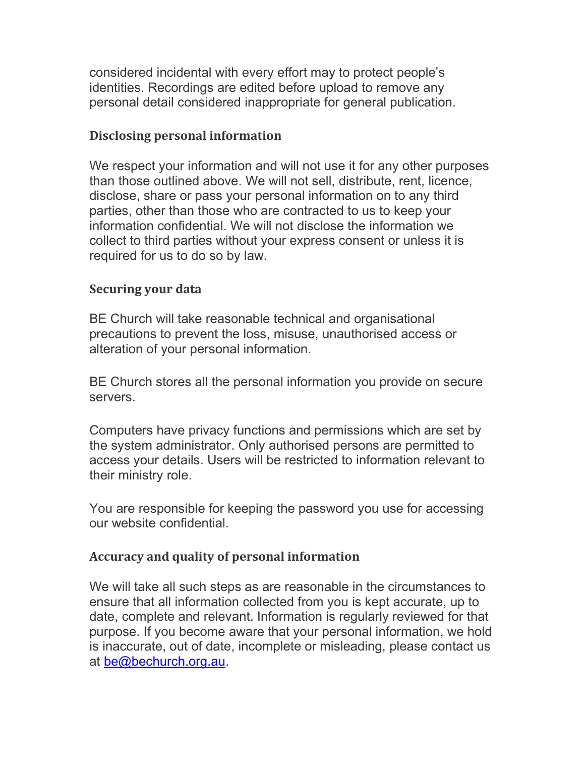considered incidental with every effort may to protect people's identities. Recordings are edited before upload to remove any personal detail considered inappropriate for general publication.

### Disclosing personal information

We respect your information and will not use it for any other purposes than those outlined above. We will not sell, distribute, rent, licence, disclose, share or pass your personal information on to any third parties, other than those who are contracted to us to keep your information confidential. We will not disclose the information we collect to third parties without your express consent or unless it is required for us to do so by law.

#### Securing your data

BE Church will take reasonable technical and organisational precautions to prevent the loss, misuse, unauthorised access or alteration of your personal information.

BE Church stores all the personal information you provide on secure servers.

Computers have privacy functions and permissions which are set by the system administrator. Only authorised persons are permitted to access your details. Users will be restricted to information relevant to their ministry role.

You are responsible for keeping the password you use for accessing our website confidential.

#### Accuracy and quality of personal information

We will take all such steps as are reasonable in the circumstances to ensure that all information collected from you is kept accurate, up to date, complete and relevant. Information is regularly reviewed for that purpose. If you become aware that your personal information, we hold is inaccurate, out of date, incomplete or misleading, please contact us at be@bechurch.org.au.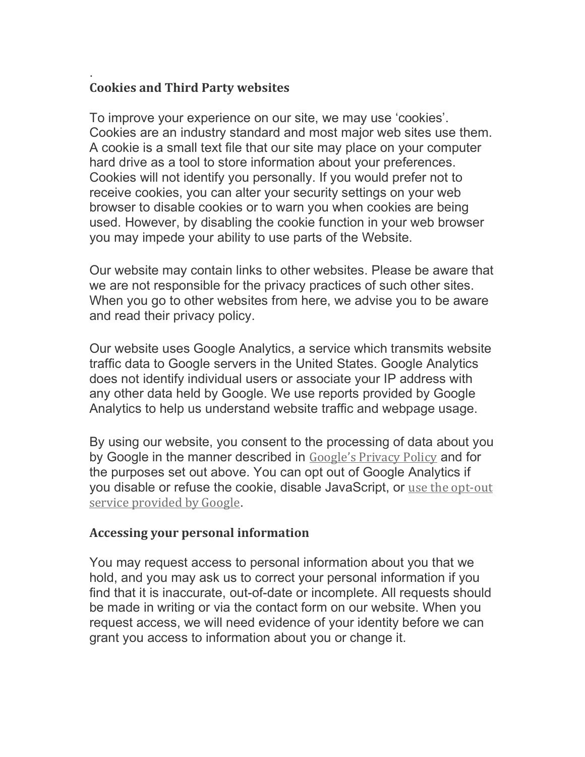#### . Cookies and Third Party websites

To improve your experience on our site, we may use 'cookies'. Cookies are an industry standard and most major web sites use them. A cookie is a small text file that our site may place on your computer hard drive as a tool to store information about your preferences. Cookies will not identify you personally. If you would prefer not to receive cookies, you can alter your security settings on your web browser to disable cookies or to warn you when cookies are being used. However, by disabling the cookie function in your web browser you may impede your ability to use parts of the Website.

Our website may contain links to other websites. Please be aware that we are not responsible for the privacy practices of such other sites. When you go to other websites from here, we advise you to be aware and read their privacy policy.

Our website uses Google Analytics, a service which transmits website traffic data to Google servers in the United States. Google Analytics does not identify individual users or associate your IP address with any other data held by Google. We use reports provided by Google Analytics to help us understand website traffic and webpage usage.

By using our website, you consent to the processing of data about you by Google in the manner described in Google's Privacy Policy and for the purposes set out above. You can opt out of Google Analytics if you disable or refuse the cookie, disable JavaScript, or use the opt-out service provided by Google.

### Accessing your personal information

You may request access to personal information about you that we hold, and you may ask us to correct your personal information if you find that it is inaccurate, out-of-date or incomplete. All requests should be made in writing or via the contact form on our website. When you request access, we will need evidence of your identity before we can grant you access to information about you or change it.